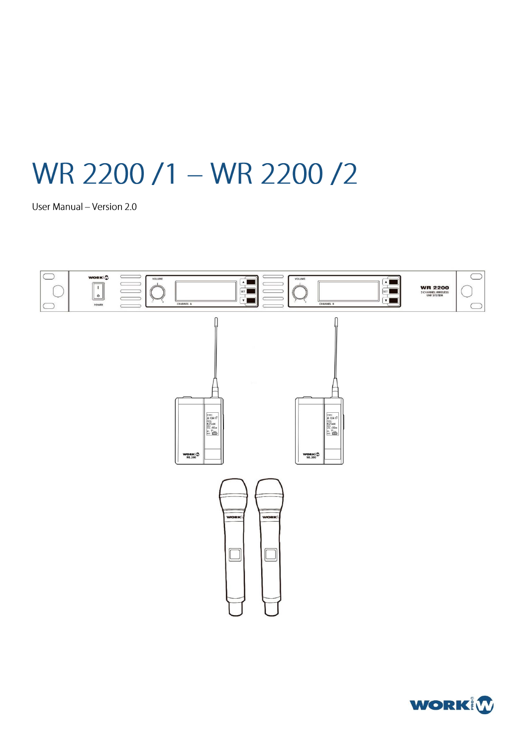# WR 2200 /1 - WR 2200 /2

User Manual - Version 2.0



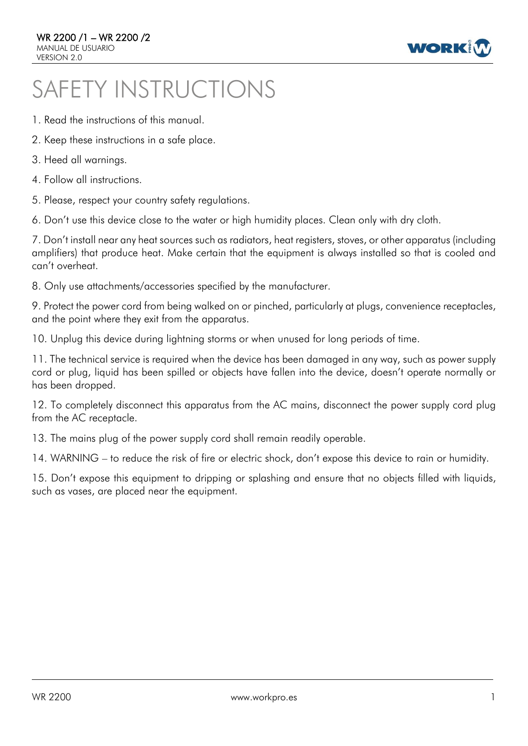

# SAFETY INSTRUCTIONS

- 1. Read the instructions of this manual.
- 2. Keep these instructions in a safe place.
- 3. Heed all warnings.
- 4. Follow all instructions.
- 5. Please, respect your country safety regulations.

6. Don't use this device close to the water or high humidity places. Clean only with dry cloth.

7. Don't install near any heat sources such as radiators, heat registers, stoves, or other apparatus (including amplifiers) that produce heat. Make certain that the equipment is always installed so that is cooled and can't overheat.

8. Only use attachments/accessories specified by the manufacturer.

9. Protect the power cord from being walked on or pinched, particularly at plugs, convenience receptacles, and the point where they exit from the apparatus.

10. Unplug this device during lightning storms or when unused for long periods of time.

11. The technical service is required when the device has been damaged in any way, such as power supply cord or plug, liquid has been spilled or objects have fallen into the device, doesn't operate normally or has been dropped.

12. To completely disconnect this apparatus from the AC mains, disconnect the power supply cord plug from the AC receptacle.

13. The mains plug of the power supply cord shall remain readily operable.

14. WARNING – to reduce the risk of fire or electric shock, don't expose this device to rain or humidity.

15. Don't expose this equipment to dripping or splashing and ensure that no objects filled with liquids, such as vases, are placed near the equipment.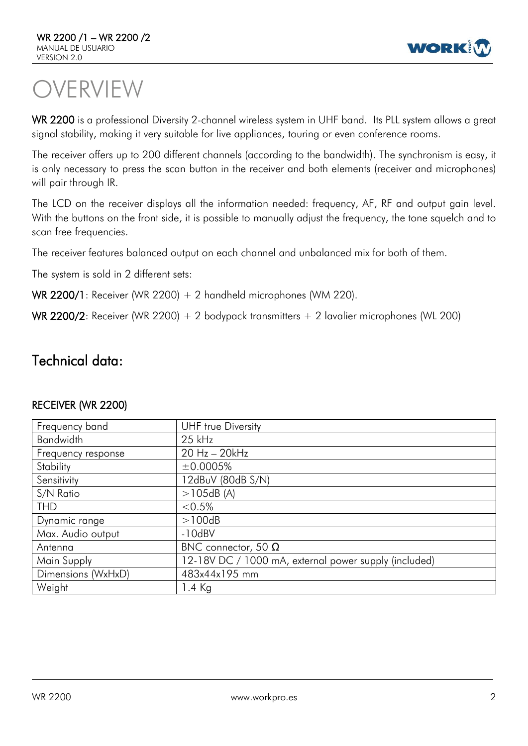

# VERVIEW

WR 2200 is a professional Diversity 2-channel wireless system in UHF band. Its PLL system allows a great signal stability, making it very suitable for live appliances, touring or even conference rooms.

The receiver offers up to 200 different channels (according to the bandwidth). The synchronism is easy, it is only necessary to press the scan button in the receiver and both elements (receiver and microphones) will pair through IR.

The LCD on the receiver displays all the information needed: frequency, AF, RF and output gain level. With the buttons on the front side, it is possible to manually adjust the frequency, the tone squelch and to scan free frequencies.

The receiver features balanced output on each channel and unbalanced mix for both of them.

The system is sold in 2 different sets:

WR 2200/1: Receiver (WR 2200) + 2 handheld microphones (WM 220).

WR 2200/2: Receiver (WR 2200) + 2 bodypack transmitters + 2 lavalier microphones (WL 200)

## Technical data:

| Frequency band     | UHF true Diversity                                    |
|--------------------|-------------------------------------------------------|
| <b>Bandwidth</b>   | $25$ kHz                                              |
| Frequency response | 20 Hz - 20kHz                                         |
| Stability          | ±0.0005%                                              |
| Sensitivity        | 12dBuV (80dB S/N)                                     |
| S/N Ratio          | >105dB(A)                                             |
| <b>THD</b>         | $< 0.5\%$                                             |
| Dynamic range      | >100dB                                                |
| Max. Audio output  | $-10dBV$                                              |
| Antenna            | BNC connector, 50 $\Omega$                            |
| Main Supply        | 12-18V DC / 1000 mA, external power supply (included) |
| Dimensions (WxHxD) | 483x44x195 mm                                         |
| Weight             | 1.4 Kg                                                |

## RECEIVER (WR 2200)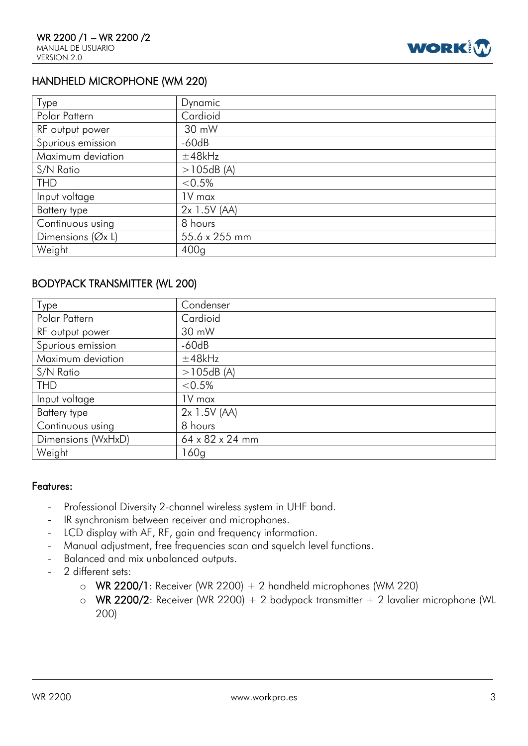

## HANDHELD MICROPHONE (WM 220)

| Type                | Dynamic          |
|---------------------|------------------|
| Polar Pattern       | Cardioid         |
| RF output power     | 30 mW            |
| Spurious emission   | $-60dB$          |
| Maximum deviation   | ±48kHz           |
| S/N Ratio           | >105dB(A)        |
| <b>THD</b>          | $< 0.5\%$        |
| Input voltage       | 1V max           |
| Battery type        | $2x$ 1.5V (AA)   |
| Continuous using    | 8 hours          |
| Dimensions $(Øx L)$ | 55.6 x 255 mm    |
| Weight              | 400 <sub>q</sub> |

## BODYPACK TRANSMITTER (WL 200)

| Type               | Condenser       |
|--------------------|-----------------|
| Polar Pattern      | Cardioid        |
| RF output power    | 30 mW           |
| Spurious emission  | $-60dB$         |
| Maximum deviation  | $±48$ k $Hz$    |
| S/N Ratio          | >105dB(A)       |
| <b>THD</b>         | $< 0.5\%$       |
| Input voltage      | 1V max          |
| Battery type       | $2x$ 1.5V (AA)  |
| Continuous using   | 8 hours         |
| Dimensions (WxHxD) | 64 x 82 x 24 mm |
| Weight             | l 60g           |

#### Features:

- Professional Diversity 2-channel wireless system in UHF band.  $\overline{a}$
- IR synchronism between receiver and microphones.
- LCD display with AF, RF, gain and frequency information.  $\sim$
- Manual adjustment, free frequencies scan and squelch level functions.
- Balanced and mix unbalanced outputs.  $\mathbf{r}$
- 2 different sets:
	- $\circ$  WR 2200/1: Receiver (WR 2200) + 2 handheld microphones (WM 220)
	- o WR 2200/2: Receiver (WR 2200) + 2 bodypack transmitter  $+$  2 lavalier microphone (WL 200)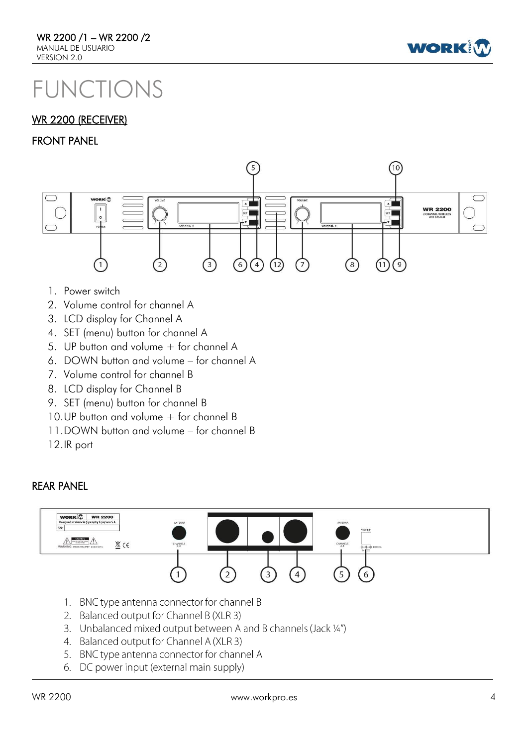

## FUNCTIONS

## **WR 2200 (RECEIVER)**

#### FRONT PANEL



- 1. Power switch
- 2. Volume control for channel A
- 3. LCD display for Channel A
- 4. SET (menu) button for channel A
- 5. UP button and volume + for channel A
- 6. DOWN button and volume for channel A
- 7. Volume control for channel B
- 8. LCD display for Channel B
- 9. SET (menu) button for channel B
- 10.UP button and volume + for channel B
- 11.DOWN button and volume for channel B
- 12.IR port

## REAR PANEL



- 1. BNC type antenna connector for channel B
- 2. Balanced output for Channel B (XLR 3)
- 3. Unbalanced mixed output between A and B channels (Jack 1/4")
- 4. Balanced output for Channel A (XLR 3)
- 5. BNC type antenna connector for channel A
- 6. DC power input (external main supply)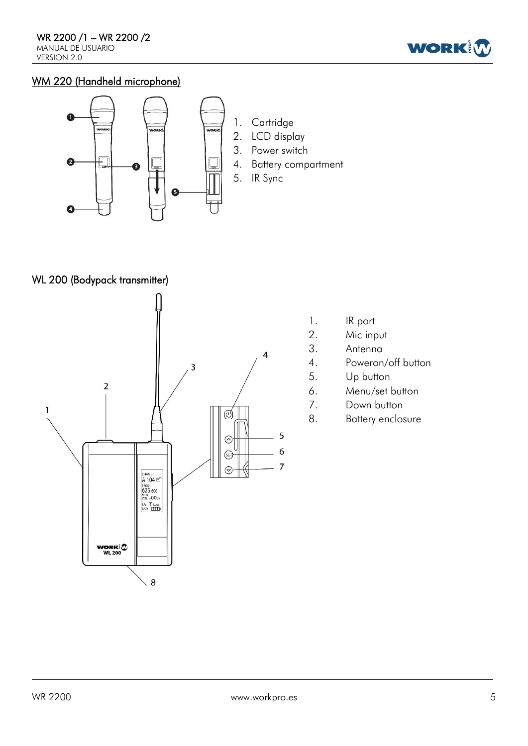

## WM 220 (Handheld microphone)



WL 200 (Bodypack transmitter)



- 1. IR port
- 2. Mic input
- 3. Antenna
- 4. Poweron/off button
- 5. Up button
- 6. Menu/set button
- 7. Down button
- 8. Battery enclosure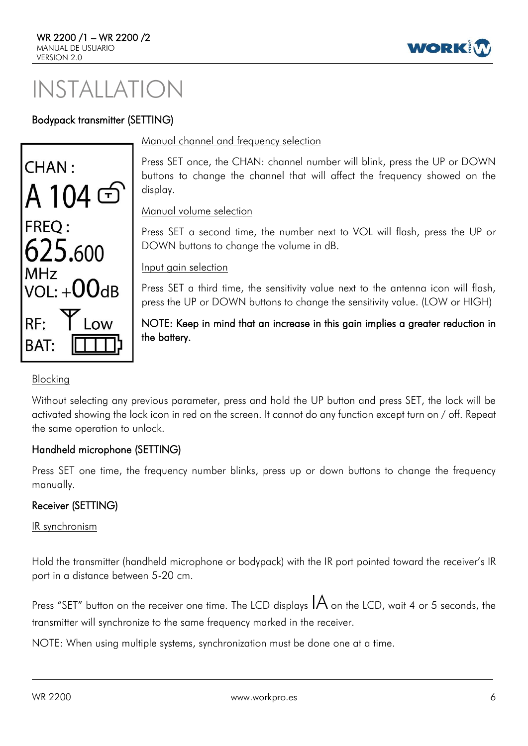# INSTALLATION

## Bodypack transmitter (SETTING)



#### Manual channel and frequency selection

Press SET once, the CHAN: channel number will blink, press the UP or DOWN buttons to change the channel that will affect the frequency showed on the display.

WOR

Manual volume selection

Press SET a second time, the number next to VOL will flash, press the UP or DOWN buttons to change the volume in dB.

Input gain selection

Press SET a third time, the sensitivity value next to the antenna icon will flash, press the UP or DOWN buttons to change the sensitivity value. (LOW or HIGH)

NOTE: Keep in mind that an increase in this gain implies a greater reduction in the battery.

## Blocking

Without selecting any previous parameter, press and hold the UP button and press SET, the lock will be activated showing the lock icon in red on the screen. It cannot do any function except turn on / off. Repeat the same operation to unlock.

## Handheld microphone (SETTING)

Press SET one time, the frequency number blinks, press up or down buttons to change the frequency manually.

## Receiver (SETTING)

IR synchronism

Hold the transmitter (handheld microphone or bodypack) with the IR port pointed toward the receiver's IR port in a distance between 5-20 cm.

Press "SET" button on the receiver one time. The LCD displays  $IA$  on the LCD, wait 4 or 5 seconds, the transmitter will synchronize to the same frequency marked in the receiver.

NOTE: When using multiple systems, synchronization must be done one at a time.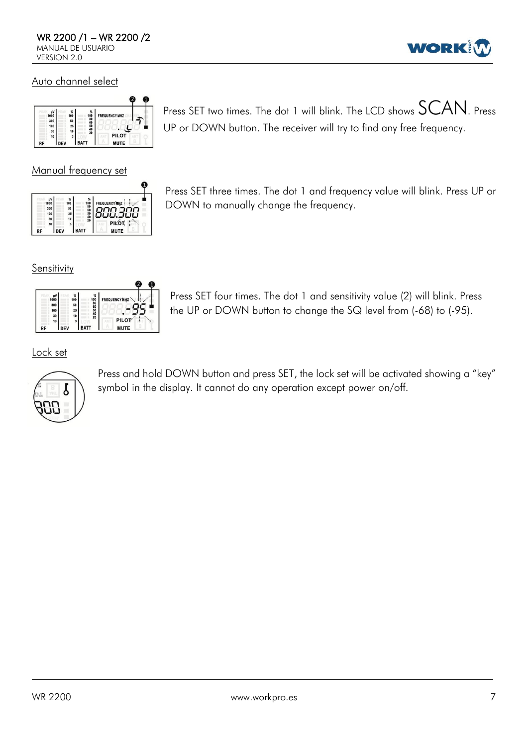

#### Auto channel select



Manual frequency set

| <b>FREQUENCY MHZ:</b>                                   | ℁                                       | 100 | u٧<br>1000 |
|---------------------------------------------------------|-----------------------------------------|-----|------------|
|                                                         | 100<br>80<br>60<br>50<br>40<br>40<br>20 | 50  | 300        |
|                                                         |                                         | 25  | 100        |
|                                                         |                                         | 10  | 30         |
| PILOT<br>$\mathcal{L}_{\mathcal{L}_{\mathcal{L}}}$<br>i |                                         | 3   | 10         |
| <b>MUTE</b>                                             | <b>BATT</b>                             | DEV |            |

Press SET two times. The dot 1 will blink. The LCD shows  $SCAN$ . Press UP or DOWN button. The receiver will try to find any free frequency.

Press SET three times. The dot 1 and frequency value will blink. Press UP or DOWN to manually change the frequency.

**Sensitivity** 



Press SET four times. The dot 1 and sensitivity value (2) will blink. Press the UP or DOWN button to change the SQ level from (-68) to (-95).

Lock set



Press and hold DOWN button and press SET, the lock set will be activated showing a "key" symbol in the display. It cannot do any operation except power on/off.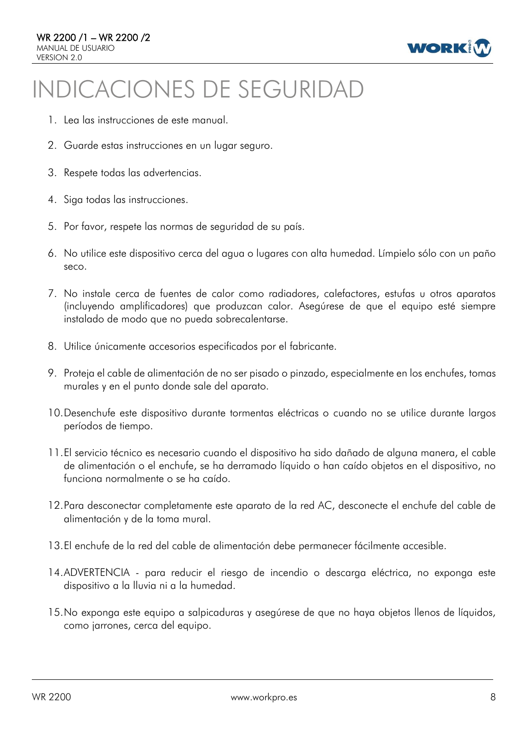

# INDICACIONES DE SEGURIDAD

- 1. Lea las instrucciones de este manual.
- 2. Guarde estas instrucciones en un lugar seguro.
- 3. Respete todas las advertencias.
- 4. Siga todas las instrucciones.
- 5. Por favor, respete las normas de seguridad de su país.
- 6. No utilice este dispositivo cerca del agua o lugares con alta humedad. Límpielo sólo con un paño seco.
- 7. No instale cerca de fuentes de calor como radiadores, calefactores, estufas u otros aparatos (incluyendo amplificadores) que produzcan calor. Asegúrese de que el equipo esté siempre instalado de modo que no pueda sobrecalentarse.
- 8. Utilice únicamente accesorios especificados por el fabricante.
- 9. Proteja el cable de alimentación de no ser pisado o pinzado, especialmente en los enchufes, tomas murales y en el punto donde sale del aparato.
- 10.Desenchufe este dispositivo durante tormentas eléctricas o cuando no se utilice durante largos períodos de tiempo.
- 11.El servicio técnico es necesario cuando el dispositivo ha sido dañado de alguna manera, el cable de alimentación o el enchufe, se ha derramado líquido o han caído objetos en el dispositivo, no funciona normalmente o se ha caído.
- 12.Para desconectar completamente este aparato de la red AC, desconecte el enchufe del cable de alimentación y de la toma mural.
- 13.El enchufe de la red del cable de alimentación debe permanecer fácilmente accesible.
- 14.ADVERTENCIA para reducir el riesgo de incendio o descarga eléctrica, no exponga este dispositivo a la lluvia ni a la humedad.
- 15.No exponga este equipo a salpicaduras y asegúrese de que no haya objetos llenos de líquidos, como jarrones, cerca del equipo.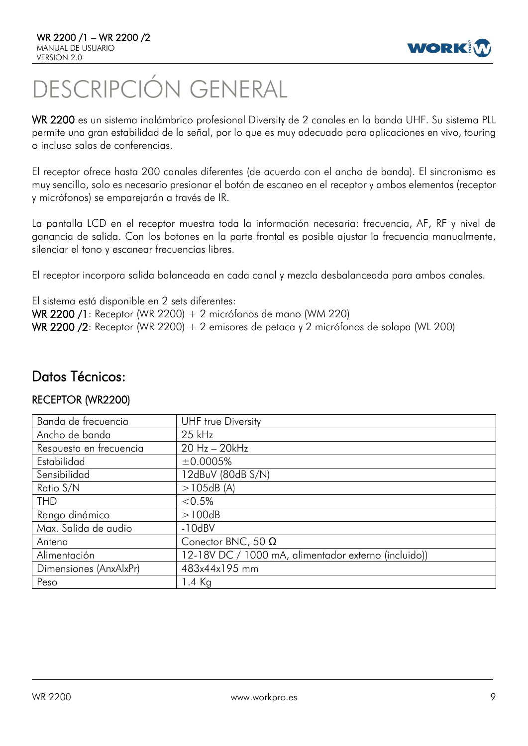

# DESCRIPCIÓN GENERAL

WR 2200 es un sistema inalámbrico profesional Diversity de 2 canales en la banda UHF. Su sistema PLL permite una gran estabilidad de la señal, por lo que es muy adecuado para aplicaciones en vivo, touring o incluso salas de conferencias.

El receptor ofrece hasta 200 canales diferentes (de acuerdo con el ancho de banda). El sincronismo es muy sencillo, solo es necesario presionar el botón de escaneo en el receptor y ambos elementos (receptor y micrófonos) se emparejarán a través de IR.

La pantalla LCD en el receptor muestra toda la información necesaria: frecuencia, AF, RF y nivel de ganancia de salida. Con los botones en la parte frontal es posible ajustar la frecuencia manualmente, silenciar el tono y escanear frecuencias libres.

El receptor incorpora salida balanceada en cada canal y mezcla desbalanceada para ambos canales.

El sistema está disponible en 2 sets diferentes: WR 2200 /1: Receptor (WR 2200) + 2 micrófonos de mano (WM 220) WR 2200 /2: Receptor (WR 2200) + 2 emisores de petaca y 2 micrófonos de solapa (WL 200)

## Datos Técnicos:

## RECEPTOR (WR2200)

| Banda de frecuencia     | <b>UHF</b> true Diversity                            |
|-------------------------|------------------------------------------------------|
| Ancho de banda          | $25$ kHz                                             |
| Respuesta en frecuencia | 20 Hz - 20kHz                                        |
| Estabilidad             | ±0.0005%                                             |
| Sensibilidad            | 12dBuV (80dB S/N)                                    |
| Ratio S/N               | >105dB(A)                                            |
| <b>THD</b>              | $< 0.5\%$                                            |
| Rango dinámico          | >100dB                                               |
| Max. Salida de audio    | $-10dBV$                                             |
| Antena                  | Conector BNC, 50 $\Omega$                            |
| Alimentación            | 12-18V DC / 1000 mA, alimentador externo (incluido)) |
| Dimensiones (AnxAlxPr)  | 483x44x195 mm                                        |
| Peso                    | $1.4$ Kg                                             |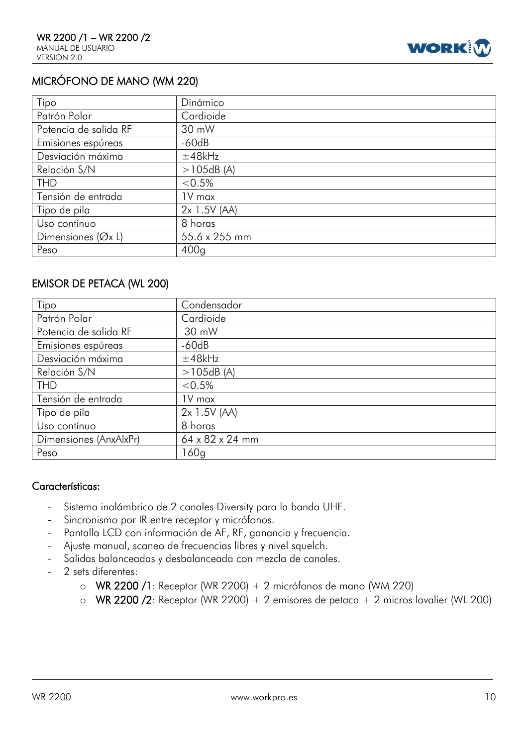

## MICRÓFONO DE MANO (WM 220)

| Tipo                             | Dinámico       |
|----------------------------------|----------------|
| Patrón Polar                     | Cardioide      |
| Potencia de salida RF            | 30 mW          |
| Emisiones espúreas               | $-60dB$        |
| Desviación máxima                | ±48kHz         |
| Relación S/N                     | >105dB(A)      |
| <b>THD</b>                       | $< 0.5\%$      |
| Tensión de entrada               | 1V max         |
| Tipo de pila                     | $2x$ 1.5V (AA) |
| Uso continuo                     | 8 horas        |
| Dimensiones ( $\varnothing$ x L) | 55.6 x 255 mm  |
| Peso                             | 400q           |

## EMISOR DE PETACA (WL 200)

| Tipo                   | Condensador     |
|------------------------|-----------------|
| Patrón Polar           | Cardioide       |
| Potencia de salida RF  | 30 mW           |
| Emisiones espúreas     | $-60dB$         |
| Desviación máxima      | ±48kHz          |
| Relación S/N           | >105dB(A)       |
| <b>THD</b>             | $< 0.5\%$       |
| Tensión de entrada     | 1V max          |
| Tipo de pila           | $2x$ 1.5V (AA)  |
| Uso contínuo           | 8 horas         |
| Dimensiones (AnxAlxPr) | 64 x 82 x 24 mm |
| Peso                   | 60q             |

#### Características:

- Sistema inalámbrico de 2 canales Diversity para la banda UHF.  $\overline{a}$
- Sincronismo por IR entre receptor y micrófonos.
- Pantalla LCD con información de AF, RF, ganancia y frecuencia.  $\equiv$
- Ajuste manual, scaneo de frecuencias libres y nivel squelch.
- Salidas balanceadas y desbalanceada con mezcla de canales.  $\equiv$
- 2 sets diferentes:
	- o WR 2200 /1: Receptor (WR 2200) + 2 micrófonos de mano (WM 220)
	- o WR 2200 /2: Receptor (WR 2200) + 2 emisores de petaca + 2 micros lavalier (WL 200)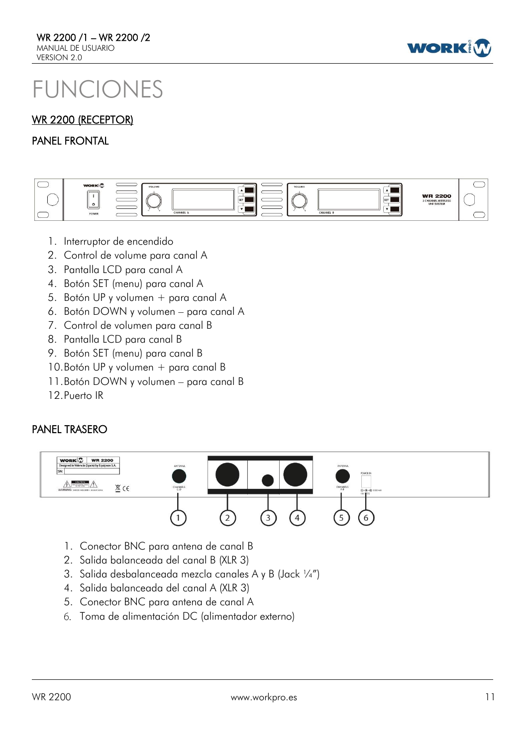

# FUNCIONES

## WR 2200 (RECEPTOR)

#### PANEL FRONTAL



- 1. Interruptor de encendido
- 2. Control de volume para canal A
- 3. Pantalla LCD para canal A
- 4. Botón SET (menu) para canal A
- 5. Botón UP y volumen + para canal A
- 6. Botón DOWN y volumen para canal A
- 7. Control de volumen para canal B
- 8. Pantalla LCD para canal B
- 9. Botón SET (menu) para canal B
- 10.Botón UP y volumen + para canal B
- 11.Botón DOWN y volumen para canal B
- 12.Puerto IR

## PANEL TRASERO



- 1. Conector BNC para antena de canal B
- 2. Salida balanceada del canal B (XLR 3)
- 3. Salida desbalanceada mezcla canales A y B (Jack ¼")
- 4. Salida balanceada del canal A (XLR 3)
- 5. Conector BNC para antena de canal A
- Toma de alimentación DC (alimentador externo)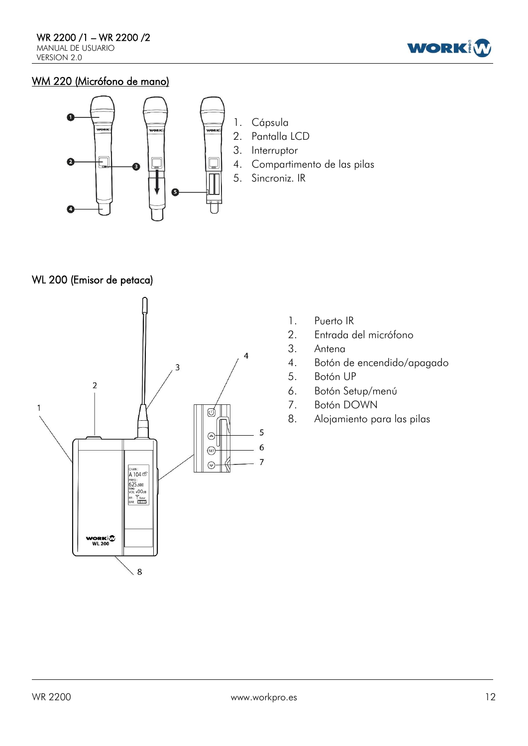

## WM 220 (Micrófono de mano)



## WL 200 (Emisor de petaca)



- 1. Puerto IR
- 2. Entrada del micrófono
- 3. Antena
- 4. Botón de encendido/apagado
- 5. Botón UP
- 6. Botón Setup/menú
- 7. Botón DOWN
- 8. Alojamiento para las pilas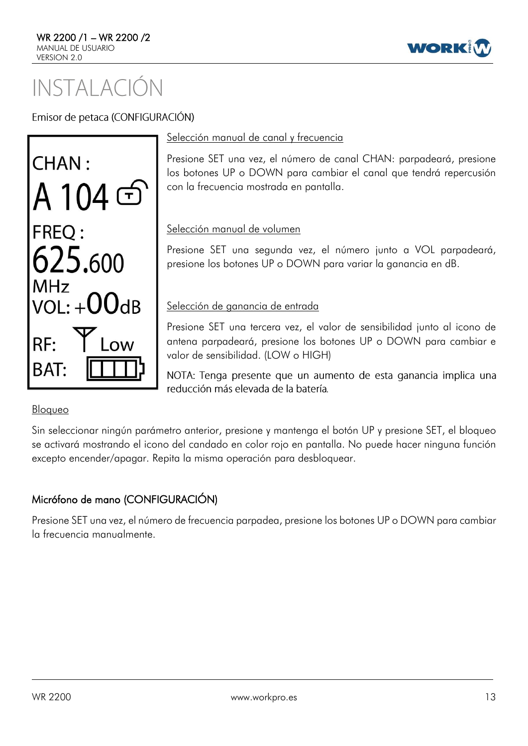

# INSTAI ACIÓN

Emisor de petaca (CONFIGURACIÓN)



#### Selección manual de canal y frecuencia

Presione SET una vez, el número de canal CHAN: parpadeará, presione los botones UP o DOWN para cambiar el canal que tendrá repercusión con la frecuencia mostrada en pantalla.

## Selección manual de volumen

Presione SET una segunda vez, el número junto a VOL parpadeará, presione los botones UP o DOWN para variar la ganancia en dB.

## Selección de ganancia de entrada

Presione SET una tercera vez, el valor de sensibilidad junto al icono de antena parpadeará, presione los botones UP o DOWN para cambiar e valor de sensibilidad. (LOW o HIGH)

NOTA: Tenga presente que un aumento de esta ganancia implica una reducción más elevada de la batería

## Bloqueo

Sin seleccionar ningún parámetro anterior, presione y mantenga el botón UP y presione SET, el bloqueo se activará mostrando el icono del candado en color rojo en pantalla. No puede hacer ninguna función excepto encender/apagar. Repita la misma operación para desbloquear.

## Micrófono de mano (CONFIGURACIÓN)

Presione SET una vez, el número de frecuencia parpadea, presione los botones UP o DOWN para cambiar la frecuencia manualmente.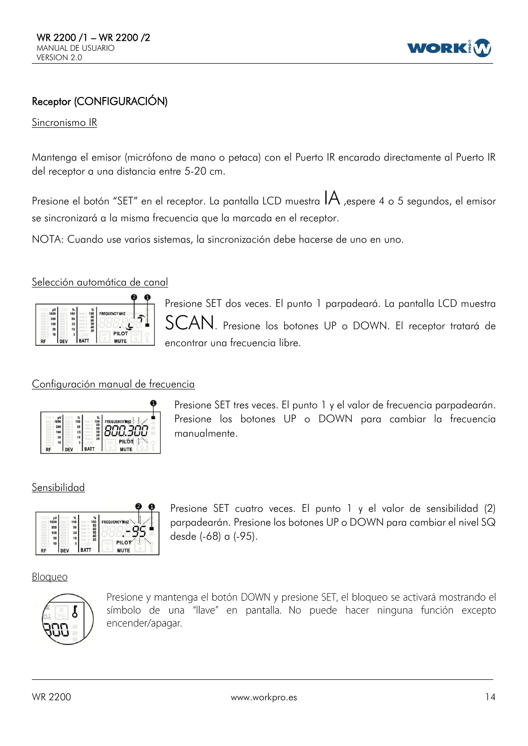

## Receptor (CONFIGURACIÓN)

#### Sincronismo IR

Mantenga el emisor (micrófono de mano o petaca) con el Puerto IR encarado directamente al Puerto IR del receptor a una distancia entre 5-20 cm.

Presione el botón "SET" en el receptor. La pantalla LCD muestra  $IA$ , espere 4 o 5 segundos, el emisor se sincronizará a la misma frecuencia que la marcada en el receptor.

NOTA: Cuando use varios sistemas, la sincronización debe hacerse de uno en uno.

#### Selección automática de canal



Presione SET dos veces. El punto 1 parpadeará. La pantalla LCD muestra Presione los botones UP o DOWN. El receptor tratará de encontrar una frecuencia libre.

#### Configuración manual de frecuencia



Presione SET tres veces. El punto 1 y el valor de frecuencia parpadearán. Presione los botones UP o DOWN para cambiar la frecuencia manualmente.

#### Sensibilidad



Presione SET cuatro veces. El punto 1 y el valor de sensibilidad (2) parpadearán. Presione los botones UP o DOWN para cambiar el nivel SQ desde (-68) a (-95).

#### Bloqueo



Presione y mantenga el botón DOWN y presione SET, el bloqueo se activará mostrando el símbolo de una "llave" en pantalla. No puede hacer ninguna función excepto encender/apagar.